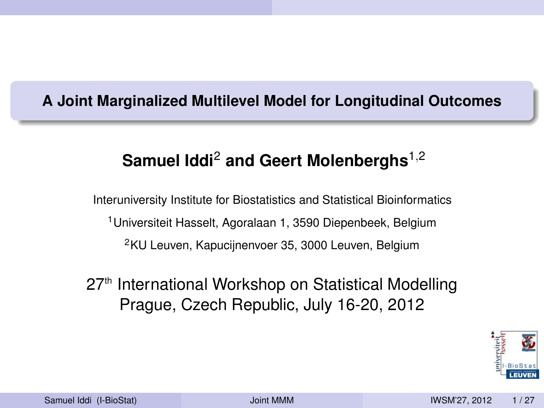### **A Joint Marginalized Multilevel Model for Longitudinal Outcomes**

## **Samuel Iddi**<sup>2</sup> **and Geert Molenberghs**1,<sup>2</sup>

Interuniversity Institute for Biostatistics and Statistical Bioinformatics <sup>1</sup>Universiteit Hasselt, Agoralaan 1, 3590 Diepenbeek, Belgium <sup>2</sup>KU Leuven, Kapucijnenvoer 35, 3000 Leuven, Belgium

## 27<sup>th</sup> International Workshop on Statistical Modelling Prague, Czech Republic, July 16-20, 2012

<span id="page-0-0"></span>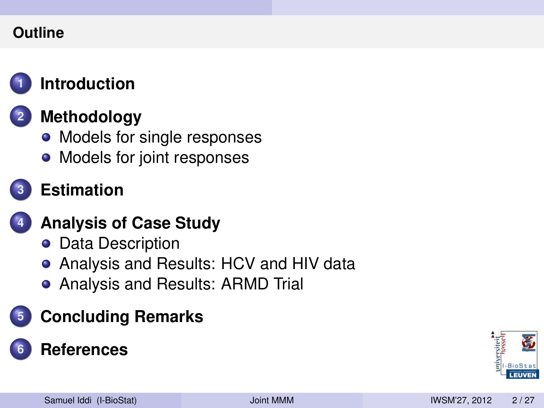### **Outline**



## **1 [Introduction](#page-2-0)**

## **2 [Methodology](#page-16-0)**

- [Models for single responses](#page-17-0)
- [Models for joint responses](#page-20-0)



## **3 [Estimation](#page-28-0)**

## **4 [Analysis of Case Study](#page-32-0)**

- **o** [Data Description](#page-33-0)
- [Analysis and Results: HCV and HIV data](#page-39-0)
- [Analysis and Results: ARMD Trial](#page-52-0)

# **5 [Concluding Remarks](#page-61-0)**

## **6 [References](#page-66-0)**

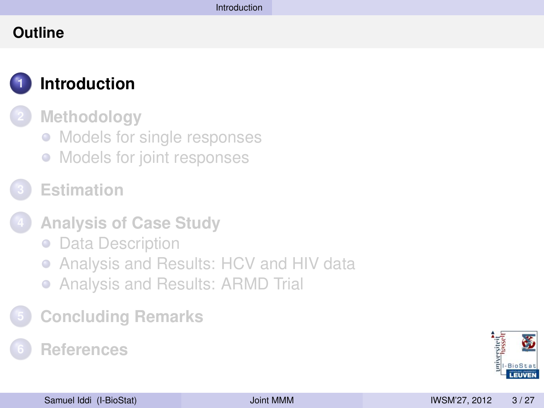### **Outline**



## **1 [Introduction](#page-2-0)**

**2 [Methodology](#page-16-0)**

- [Models for single responses](#page-17-0)
- [Models for joint responses](#page-20-0)
- **3 [Estimation](#page-28-0)**
- **4 [Analysis of Case Study](#page-32-0)**
	- **[Data Description](#page-33-0)**
	- [Analysis and Results: HCV and HIV data](#page-39-0)  $\bullet$
	- [Analysis and Results: ARMD Trial](#page-52-0)
- **5 [Concluding Remarks](#page-61-0)**

## **6 [References](#page-66-0)**

<span id="page-2-0"></span>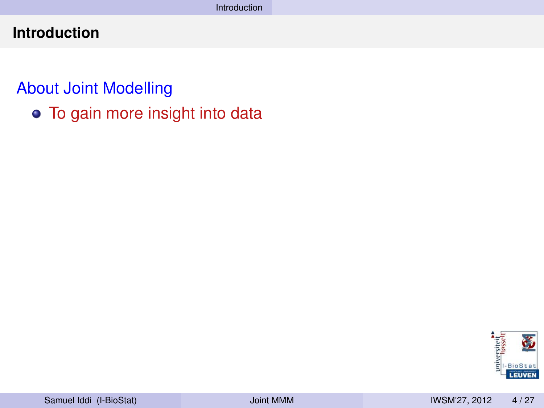## About Joint Modelling

To gain more insight into data

<span id="page-3-0"></span>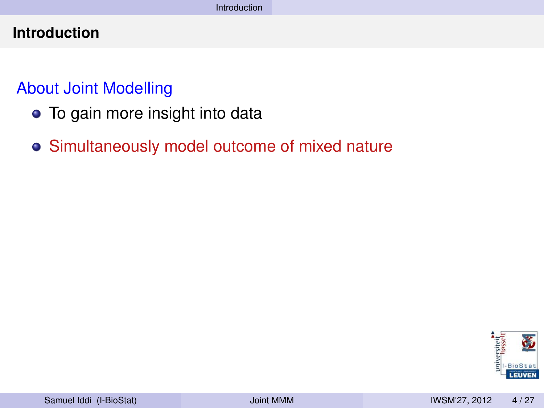## About Joint Modelling

- To gain more insight into data
- Simultaneously model outcome of mixed nature

<span id="page-4-0"></span>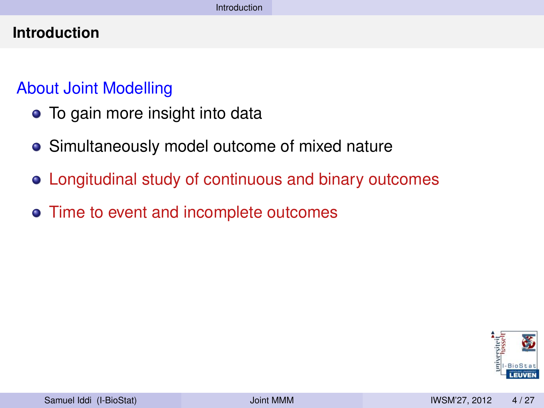### About Joint Modelling

- To gain more insight into data
- **•** Simultaneously model outcome of mixed nature
- Longitudinal study of continuous and binary outcomes
- Time to event and incomplete outcomes

<span id="page-5-0"></span>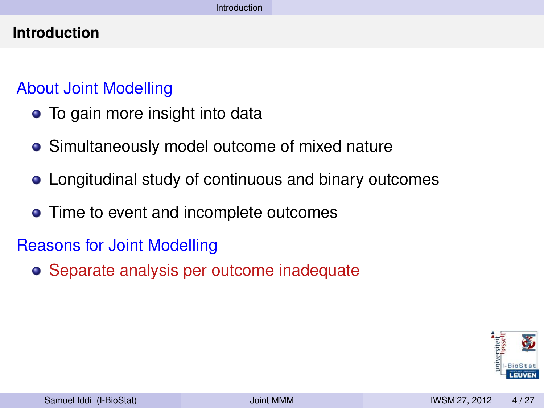### About Joint Modelling

- To gain more insight into data
- **•** Simultaneously model outcome of mixed nature
- Longitudinal study of continuous and binary outcomes
- Time to event and incomplete outcomes

## Reasons for Joint Modelling

Separate analysis per outcome inadequate

<span id="page-6-0"></span>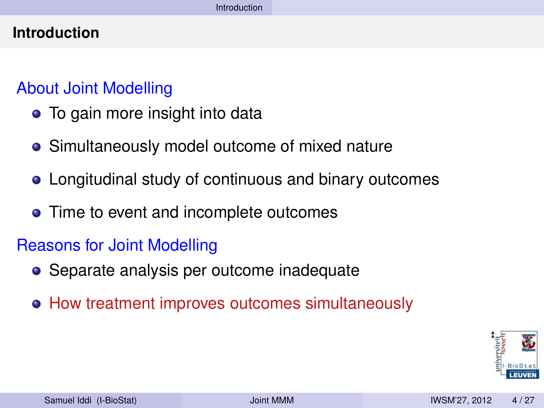### About Joint Modelling

- To gain more insight into data
- **•** Simultaneously model outcome of mixed nature
- Longitudinal study of continuous and binary outcomes
- Time to event and incomplete outcomes

## Reasons for Joint Modelling

- Separate analysis per outcome inadequate
- How treatment improves outcomes simultaneously

<span id="page-7-0"></span>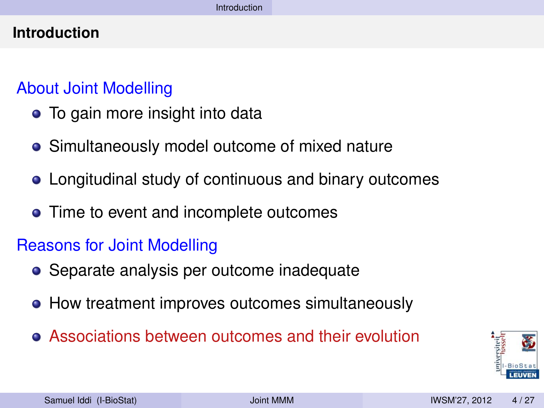## About Joint Modelling

- To gain more insight into data
- **•** Simultaneously model outcome of mixed nature
- Longitudinal study of continuous and binary outcomes
- Time to event and incomplete outcomes

## Reasons for Joint Modelling

- Separate analysis per outcome inadequate
- How treatment improves outcomes simultaneously
- Associations between outcomes and their evolution

<span id="page-8-0"></span>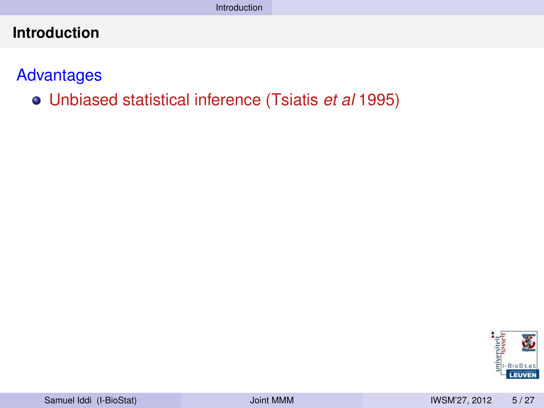**Advantages** 

Unbiased statistical inference (Tsiatis *et al* 1995)

<span id="page-9-0"></span>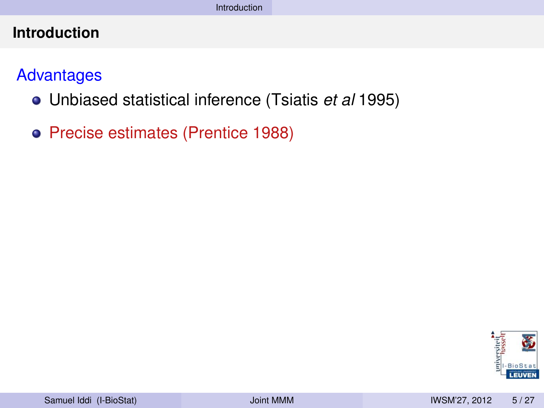### **Advantages**

- Unbiased statistical inference (Tsiatis *et al* 1995)
- Precise estimates (Prentice 1988)

<span id="page-10-0"></span>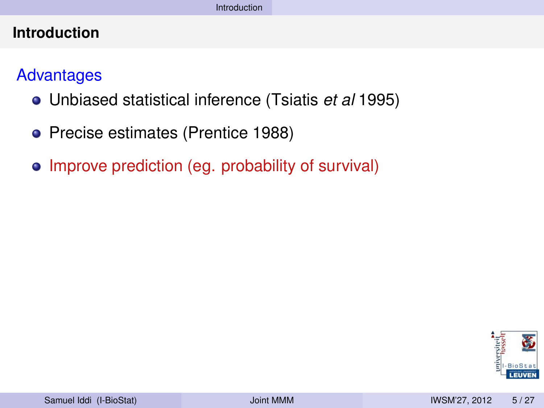### **Advantages**

- Unbiased statistical inference (Tsiatis *et al* 1995)
- Precise estimates (Prentice 1988)
- Improve prediction (eg. probability of survival)

<span id="page-11-0"></span>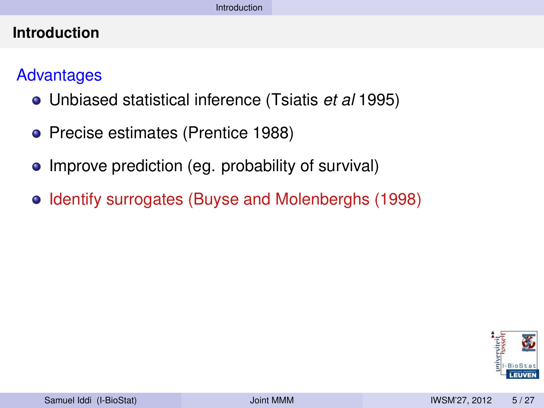### Advantages

- Unbiased statistical inference (Tsiatis *et al* 1995)
- Precise estimates (Prentice 1988)
- Improve prediction (eg. probability of survival)
- Identify surrogates (Buyse and Molenberghs (1998)

<span id="page-12-0"></span>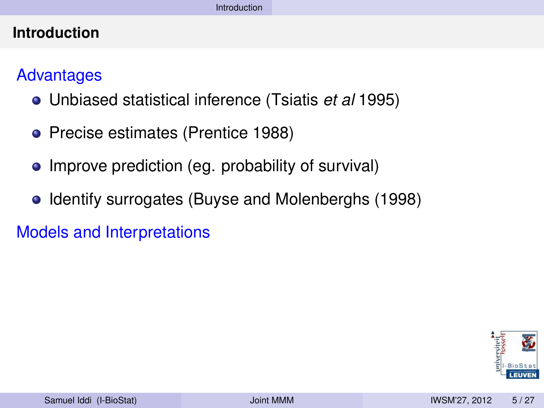### Advantages

- Unbiased statistical inference (Tsiatis *et al* 1995)
- Precise estimates (Prentice 1988)
- Improve prediction (eg. probability of survival)
- Identify surrogates (Buyse and Molenberghs (1998)

Models and Interpretations

<span id="page-13-0"></span>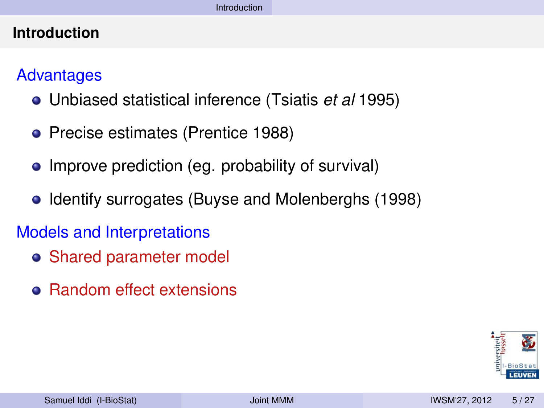### Advantages

- Unbiased statistical inference (Tsiatis *et al* 1995)
- Precise estimates (Prentice 1988)
- Improve prediction (eg. probability of survival)
- Identify surrogates (Buyse and Molenberghs (1998)

## Models and Interpretations

- Shared parameter model
- Random effect extensions

<span id="page-14-0"></span>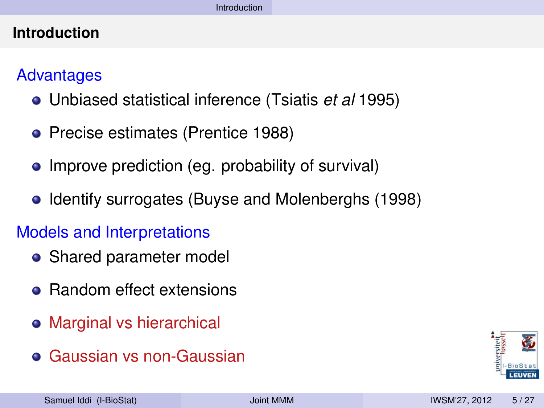### Advantages

- Unbiased statistical inference (Tsiatis *et al* 1995)
- Precise estimates (Prentice 1988)
- Improve prediction (eg. probability of survival)
- Identify surrogates (Buyse and Molenberghs (1998)

## Models and Interpretations

- Shared parameter model
- Random effect extensions
- Marginal vs hierarchical
- Gaussian vs non-Gaussian

<span id="page-15-0"></span>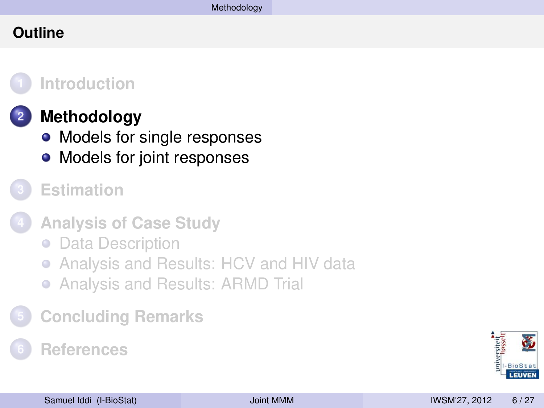### **Outline**



### **1 [Introduction](#page-2-0)**

## **2 [Methodology](#page-16-0)**

- [Models for single responses](#page-17-0)
- [Models for joint responses](#page-20-0)
- **3 [Estimation](#page-28-0)**
- **4 [Analysis of Case Study](#page-32-0)**
	- [Data Description](#page-33-0)
	- [Analysis and Results: HCV and HIV data](#page-39-0)  $\bullet$
	- [Analysis and Results: ARMD Trial](#page-52-0)
- **5 [Concluding Remarks](#page-61-0)**

## **6 [References](#page-66-0)**

<span id="page-16-0"></span>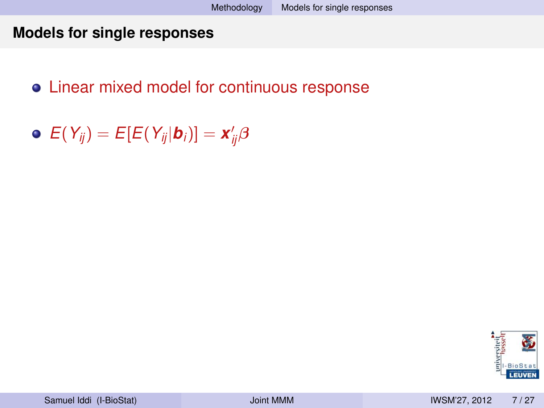#### **Models for single responses**

## Linear mixed model for continuous response

 $E(Y_{ij}) = E[E(Y_{ij}|\boldsymbol{b}_i)] = \boldsymbol{x}'_{ij}\boldsymbol{\beta}$ 

<span id="page-17-0"></span>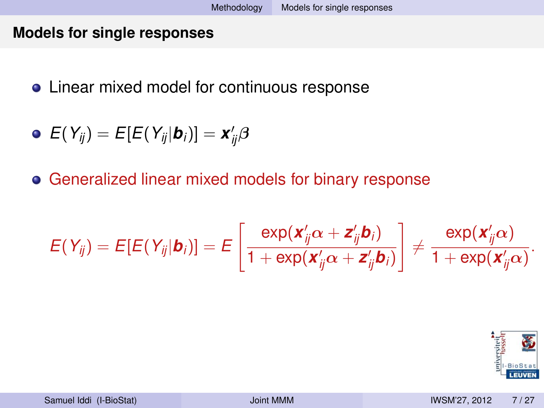#### **Models for single responses**

**.** Linear mixed model for continuous response

$$
\bullet \ \ E(Y_{ij}) = E[E(Y_{ij}|\boldsymbol{b}_i)] = \boldsymbol{x}_{ij}'\boldsymbol{\beta}
$$

Generalized linear mixed models for binary response

$$
E(Y_{ij}) = E[E(Y_{ij}|\boldsymbol{b}_i)] = E\left[\frac{\exp(\boldsymbol{x}_{ij}'\alpha + \boldsymbol{z}_{ij}'\boldsymbol{b}_i)}{1 + \exp(\boldsymbol{x}_{ij}'\alpha + \boldsymbol{z}_{ij}'\boldsymbol{b}_i)}\right] \neq \frac{\exp(\boldsymbol{x}_{ij}'\alpha)}{1 + \exp(\boldsymbol{x}_{ij}'\alpha)}.
$$

<span id="page-18-0"></span>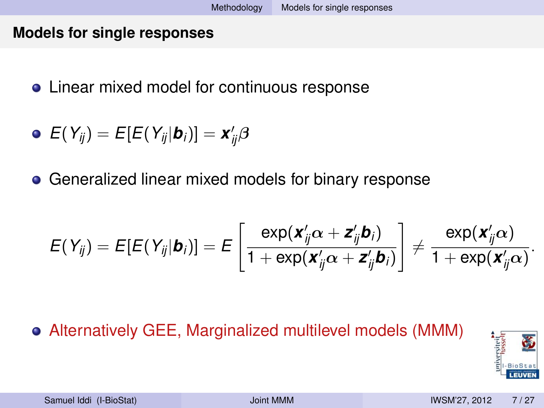#### **Models for single responses**

**•** Linear mixed model for continuous response

$$
\bullet\ \ E(Y_{ij})=E[E(Y_{ij}|\boldsymbol{b}_i)]=\boldsymbol{x}'_{ij}\boldsymbol{\beta}
$$

**• Generalized linear mixed models for binary response** 

$$
E(Y_{ij}) = E[E(Y_{ij}|\boldsymbol{b}_i)] = E\left[\frac{\exp(\boldsymbol{x}_{ij}'\alpha + \boldsymbol{z}_{ij}'\boldsymbol{b}_i)}{1 + \exp(\boldsymbol{x}_{ij}'\alpha + \boldsymbol{z}_{ij}'\boldsymbol{b}_i)}\right] \neq \frac{\exp(\boldsymbol{x}_{ij}'\alpha)}{1 + \exp(\boldsymbol{x}_{ij}'\alpha)}.
$$

## Alternatively GEE, Marginalized multilevel models (MMM)

<span id="page-19-0"></span>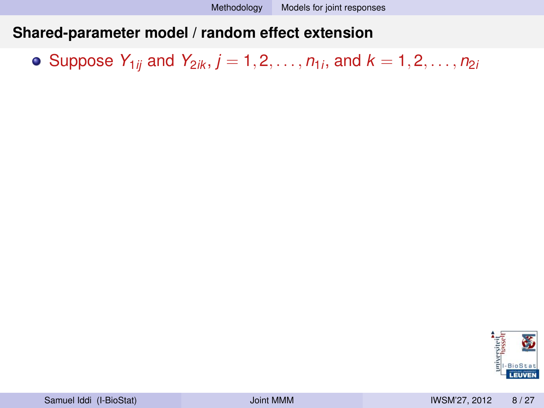Suppose  $Y_{1ij}$  and  $Y_{2ik}, j=1,2,\ldots,n_{1i},$  and  $k=1,2,\ldots,n_{2i}$ 

<span id="page-20-0"></span>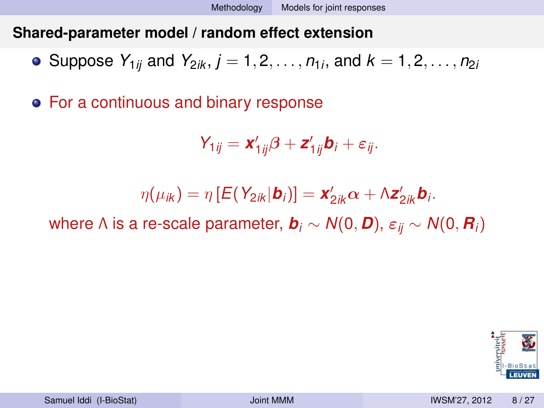Suppose  $Y_{1ij}$  and  $Y_{2ik}, j=1,2,\ldots,n_{1i},$  and  $k=1,2,\ldots,n_{2i}$ 

For a continuous and binary response

$$
Y_{1ij} = \mathbf{x}_{1ij}'\boldsymbol{\beta} + \mathbf{z}_{1ij}'\mathbf{b}_i + \varepsilon_{ij}.
$$

$$
\eta(\mu_{ik}) = \eta \left[ E(Y_{2ik}|\boldsymbol{b}_i) \right] = \boldsymbol{x}'_{2ik} \boldsymbol{\alpha} + \Lambda \boldsymbol{z}'_{2ik} \boldsymbol{b}_i.
$$

where  $\Lambda$  is a re-scale parameter,  $\boldsymbol{b}_i \sim N(0, \boldsymbol{D})$ ,  $\varepsilon_{ii} \sim N(0, \boldsymbol{R}_i)$ 

<span id="page-21-0"></span>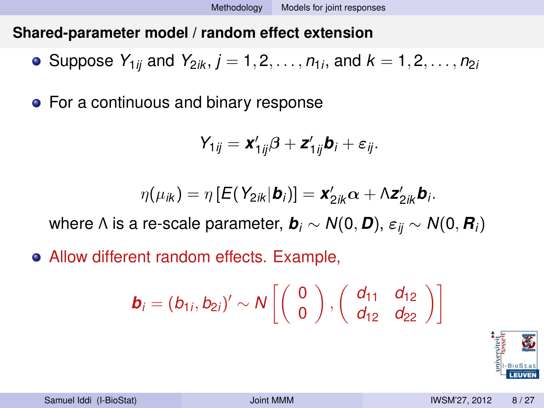Suppose  $Y_{1ij}$  and  $Y_{2ik}, j=1,2,\ldots,n_{1i},$  and  $k=1,2,\ldots,n_{2i}$ 

• For a continuous and binary response

$$
Y_{1ij} = \mathbf{x}_{1ij}'\boldsymbol{\beta} + \mathbf{z}_{1ij}'\mathbf{b}_i + \varepsilon_{ij}.
$$

$$
\eta(\mu_{ik}) = \eta \left[ E(Y_{2ik}|\boldsymbol{b}_i) \right] = \boldsymbol{x}'_{2ik} \boldsymbol{\alpha} + \Lambda \boldsymbol{z}'_{2ik} \boldsymbol{b}_i.
$$

where  $\Lambda$  is a re-scale parameter,  $\mathbf{b}_i \sim N(0, \mathbf{D})$ ,  $\varepsilon_{ii} \sim N(0, \mathbf{R}_i)$ 

Allow different random effects. Example,

$$
\boldsymbol{b}_i = (b_{1i}, b_{2i})' \sim N\left[\left(\begin{array}{c} 0 \\ 0 \end{array}\right), \left(\begin{array}{cc} d_{11} & d_{12} \\ d_{12} & d_{22} \end{array}\right)\right]
$$

<span id="page-22-0"></span>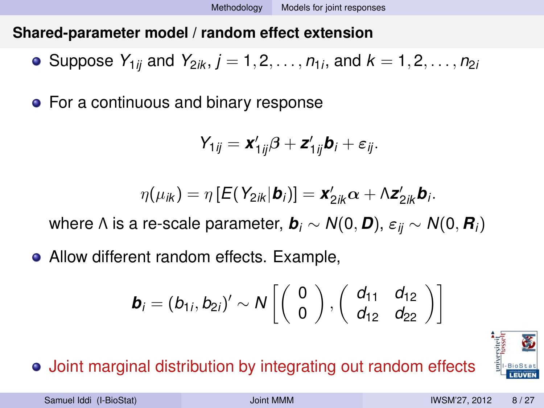Suppose  $Y_{1ij}$  and  $Y_{2ik}, j=1,2,\ldots,n_{1i},$  and  $k=1,2,\ldots,n_{2i}$ 

• For a continuous and binary response

$$
Y_{1ij} = \mathbf{x}'_{1ij}\boldsymbol{\beta} + \mathbf{z}'_{1ij}\mathbf{b}_i + \varepsilon_{ij}.
$$

$$
\eta(\mu_{ik}) = \eta \left[ E(Y_{2ik}|\boldsymbol{b}_i) \right] = \boldsymbol{x}'_{2ik} \boldsymbol{\alpha} + \Lambda \boldsymbol{z}'_{2ik} \boldsymbol{b}_i.
$$

where  $\Lambda$  is a re-scale parameter,  $\mathbf{b}_i \sim N(0, \mathbf{D})$ ,  $\varepsilon_{ii} \sim N(0, \mathbf{R}_i)$ 

• Allow different random effects. Example,

$$
\boldsymbol{b}_i = (b_{1i}, b_{2i})' \sim N\left[\left(\begin{array}{c} 0 \\ 0 \end{array}\right), \left(\begin{array}{cc} d_{11} & d_{12} \\ d_{12} & d_{22} \end{array}\right)\right]
$$

Joint marginal distribution by integrating out random effects

<span id="page-23-0"></span>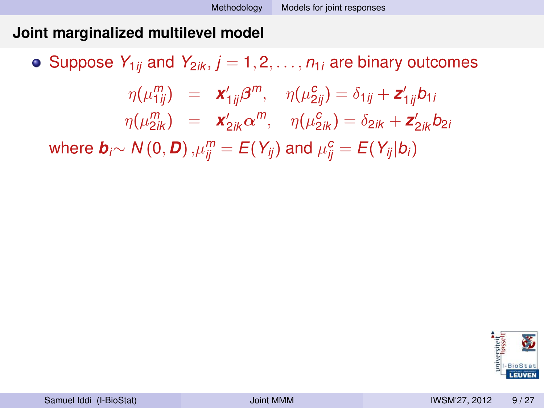• Suppose  $Y_{1ji}$  and  $Y_{2ik}$ ,  $j = 1, 2, ..., n_{1j}$  are binary outcomes  $\eta(\mu_{1ij}^m) = \mathbf{x}_{1ij}'\beta^m, \quad \eta(\mu_{2ij}^c) = \delta_{1ij} + \mathbf{z}_{1ij}'b_{1i}$  $\eta(\mu_{2ik}^m) = \mathbf{x}_{2ik}' \alpha^m, \quad \eta(\mu_{2ik}^c) = \delta_{2ik} + \mathbf{z}_{2ik}' b_{2ik}$  $w$ here  $\bm{b}_i \sim N(0, \bm{D})$  , $\mu_{ij}^m = E(Y_{ij})$  and  $\mu_{ij}^c = E(Y_{ij}|b_i)$ 

<span id="page-24-0"></span>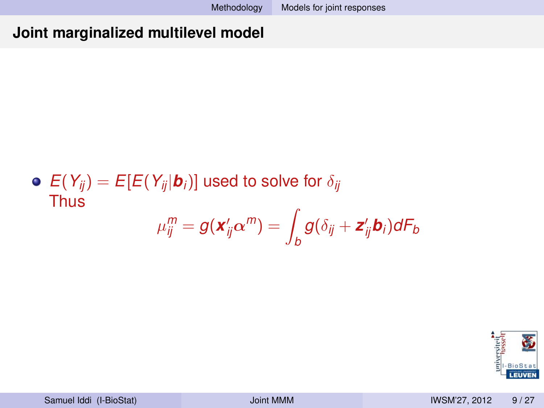• 
$$
E(Y_{ij}) = E[E(Y_{ij}|\mathbf{b}_i)]
$$
 used to solve for  $\delta_{ij}$   
Thus  

$$
\mu_{ij}^m = g(\mathbf{x}_{ij}^{\prime} \alpha^m) = \int_{b} g(\delta_{ij} + \mathbf{z}_{ij}^{\prime} \mathbf{b}_i) dF_b
$$

<span id="page-25-0"></span>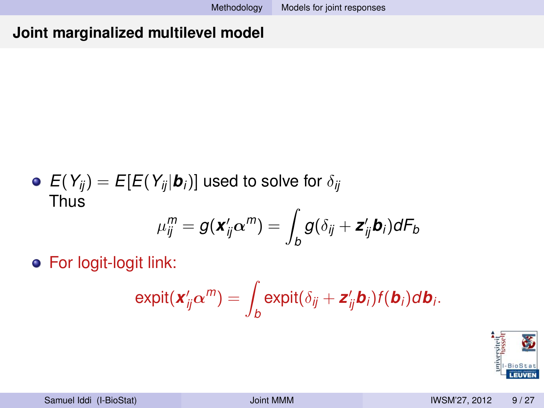• 
$$
E(Y_{ij}) = E[E(Y_{ij}|\mathbf{b}_i)]
$$
 used to solve for  $\delta_{ij}$   
Thus  

$$
\mu_{ij}^m = g(\mathbf{x}_{ij}^{\prime} \alpha^m) = \int_{b} g(\delta_{ij} + \mathbf{z}_{ij}^{\prime} \mathbf{b}_i) dF_b
$$

For logit-logit link:

$$
\mathrm{expit}(\mathbf{x}_{ij}^{\prime} \boldsymbol{\alpha}^m) = \int_{b} \mathrm{expit}(\delta_{ij} + \mathbf{z}_{ij}^{\prime} \mathbf{b}_{i}) f(\mathbf{b}_{i}) d\mathbf{b}_{i}.
$$

<span id="page-26-0"></span>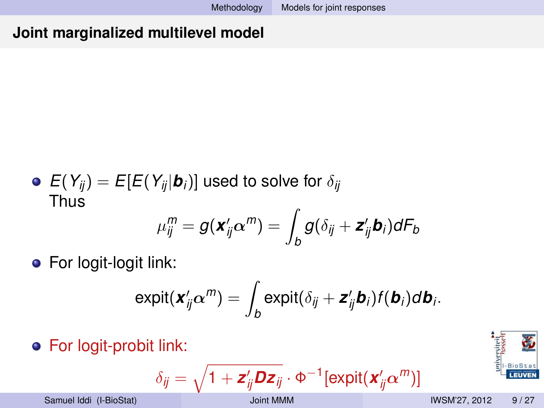• 
$$
E(Y_{ij}) = E[E(Y_{ij}|\mathbf{b}_i)]
$$
 used to solve for  $\delta_{ij}$   
Thus  

$$
\mu_{ij}^m = g(\mathbf{x}_{ij}^{\prime} \alpha^m) = \int_B g(\delta_{ij} + \mathbf{z}_{ij}^{\prime} \mathbf{b}_i) dF_b
$$

**•** For logit-logit link:

$$
\mathrm{expit}(\mathbf{x}_{ij}^{\prime}\alpha^{\prime\prime\prime})=\int_{b}\mathrm{expit}(\delta_{ij}+\mathbf{z}_{ij}^{\prime}\mathbf{b}_{i})f(\mathbf{b}_{i})d\mathbf{b}_{i}.
$$

For logit-probit link:

$$
\delta_{ij} = \sqrt{1 + \mathbf{z}_{ij}^{\prime} \mathbf{D} \mathbf{z}_{ij}} \cdot \Phi^{-1} [\text{expit}(\mathbf{x}_{ij}^{\prime} \alpha^m)]
$$

<span id="page-27-0"></span>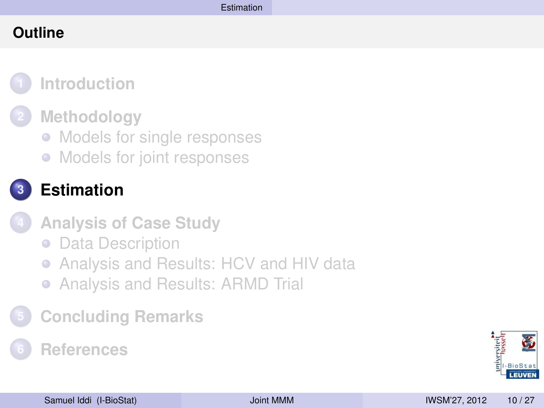### **Outline**



### **2 [Methodology](#page-16-0)**

- [Models for single responses](#page-17-0)
- [Models for joint responses](#page-20-0)



## **3 [Estimation](#page-28-0)**

- **4 [Analysis of Case Study](#page-32-0)**
	- **[Data Description](#page-33-0)**
	- [Analysis and Results: HCV and HIV data](#page-39-0)  $\bullet$
	- [Analysis and Results: ARMD Trial](#page-52-0)
- **5 [Concluding Remarks](#page-61-0)**

## **6 [References](#page-66-0)**

<span id="page-28-0"></span>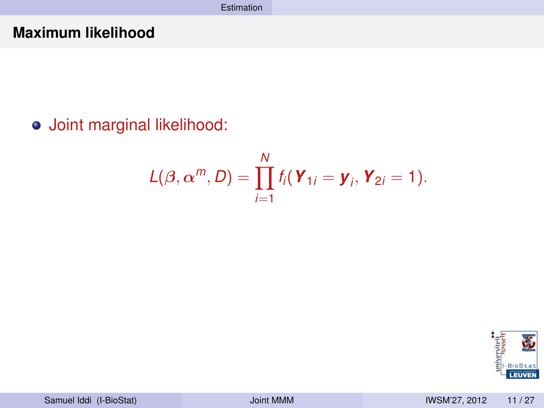### **Maximum likelihood**

## Joint marginal likelihood:

$$
L(\boldsymbol{\beta},\boldsymbol{\alpha}^m,\boldsymbol{D})=\prod_{i=1}^N f_i(\boldsymbol{Y}_{1i}=\boldsymbol{y}_i,\boldsymbol{Y}_{2i}=1).
$$

<span id="page-29-0"></span>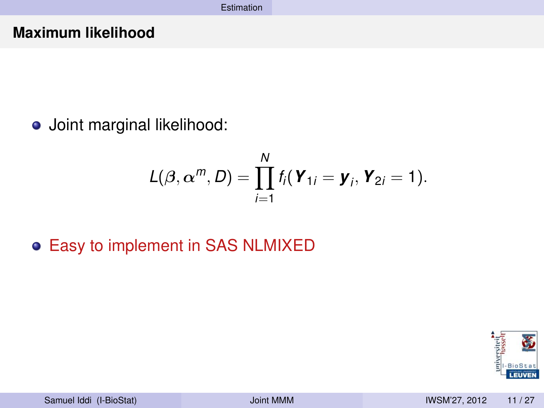#### **Maximum likelihood**

o Joint marginal likelihood:

$$
L(\beta, \alpha^m, D) = \prod_{i=1}^N f_i(\boldsymbol{Y}_{1i} = \boldsymbol{y}_i, \boldsymbol{Y}_{2i} = 1).
$$

Easy to implement in SAS NLMIXED

<span id="page-30-0"></span>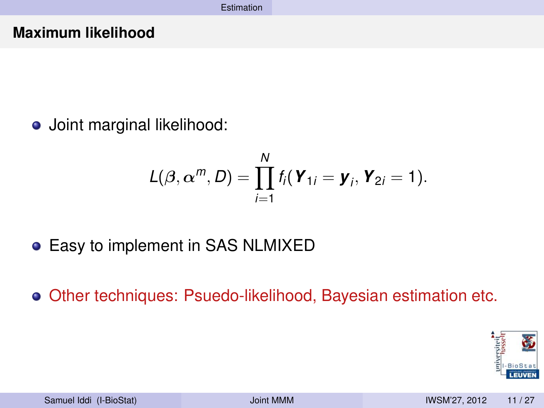#### **Maximum likelihood**

Joint marginal likelihood:

$$
L(\beta, \alpha^m, D) = \prod_{i=1}^N f_i(\boldsymbol{Y}_{1i} = \boldsymbol{y}_i, \boldsymbol{Y}_{2i} = 1).
$$

- Easy to implement in SAS NLMIXED
- Other techniques: Psuedo-likelihood, Bayesian estimation etc.

<span id="page-31-0"></span>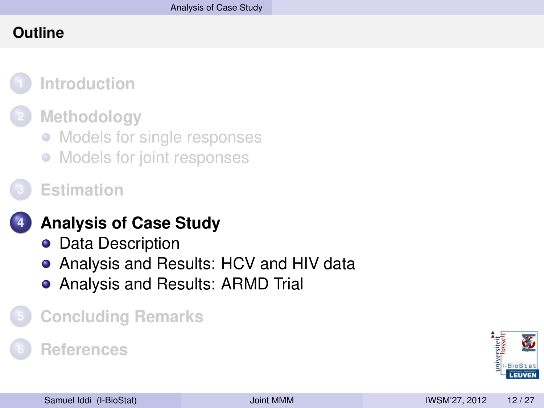### **Outline**



### **2 [Methodology](#page-16-0)**

- [Models for single responses](#page-17-0)
- [Models for joint responses](#page-20-0)
- **3 [Estimation](#page-28-0)**

## **4 [Analysis of Case Study](#page-32-0)**

- **o** [Data Description](#page-33-0)
- [Analysis and Results: HCV and HIV data](#page-39-0)
- <span id="page-32-0"></span>[Analysis and Results: ARMD Trial](#page-52-0)

## **5 [Concluding Remarks](#page-61-0)**

### **6 [References](#page-66-0)**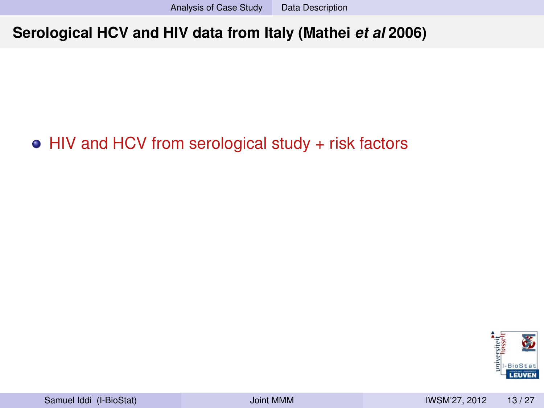## • HIV and HCV from serological study + risk factors

<span id="page-33-0"></span>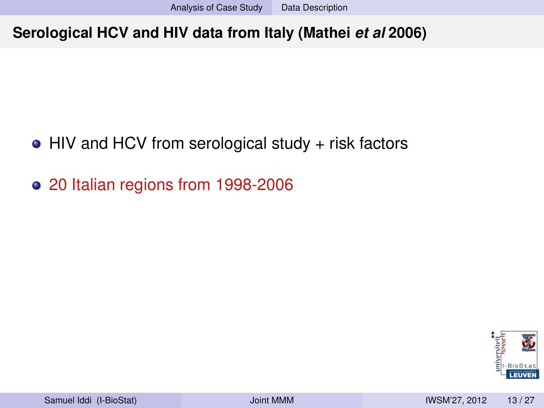- $\bullet$  HIV and HCV from serological study + risk factors
- 20 Italian regions from 1998-2006

<span id="page-34-0"></span>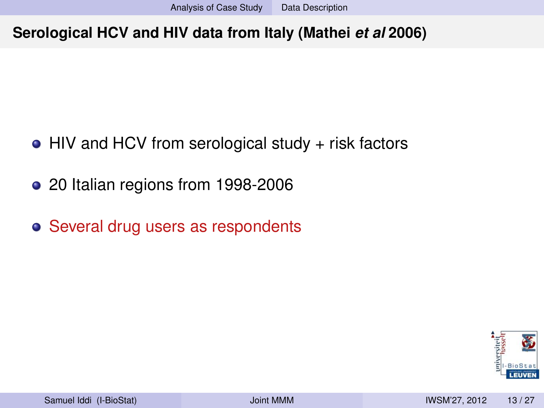- HIV and HCV from serological study + risk factors
- 20 Italian regions from 1998-2006
- Several drug users as respondents

<span id="page-35-0"></span>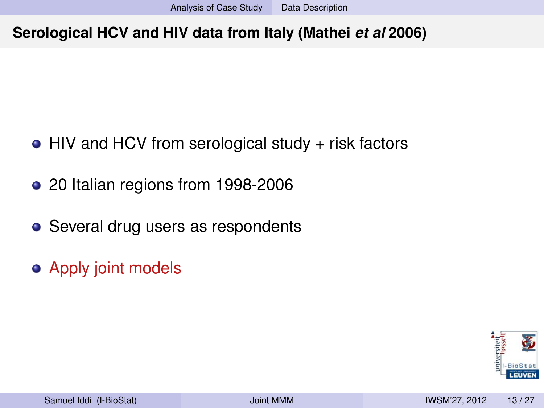- HIV and HCV from serological study + risk factors
- 20 Italian regions from 1998-2006
- Several drug users as respondents
- **Apply joint models**

<span id="page-36-0"></span>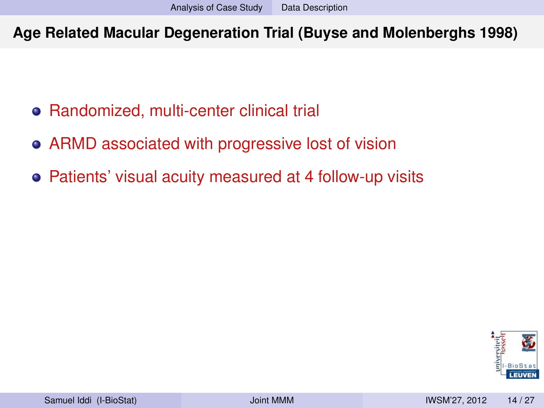**Age Related Macular Degeneration Trial (Buyse and Molenberghs 1998)**

- Randomized, multi-center clinical trial
- ARMD associated with progressive lost of vision
- Patients' visual acuity measured at 4 follow-up visits

<span id="page-37-0"></span>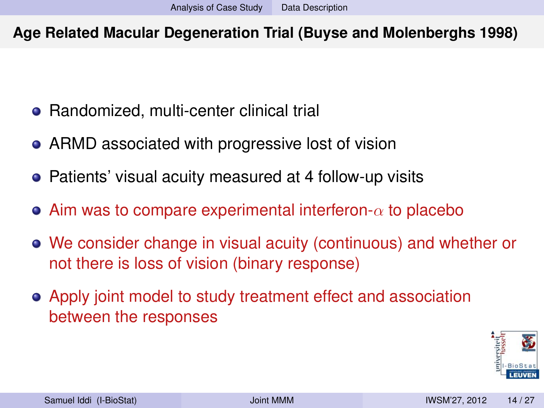### **Age Related Macular Degeneration Trial (Buyse and Molenberghs 1998)**

- Randomized, multi-center clinical trial
- ARMD associated with progressive lost of vision
- Patients' visual acuity measured at 4 follow-up visits
- Aim was to compare experimental interferon- $\alpha$  to placebo
- We consider change in visual acuity (continuous) and whether or not there is loss of vision (binary response)
- Apply joint model to study treatment effect and association between the responses

<span id="page-38-0"></span>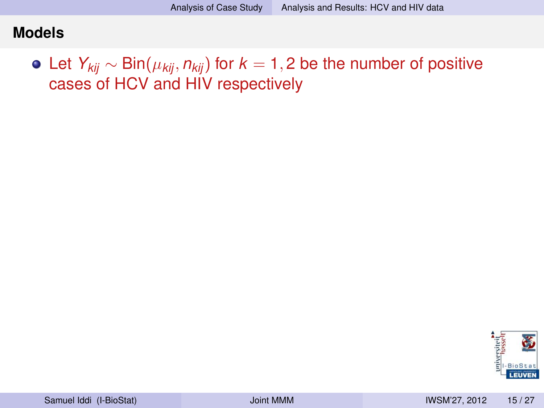Let *Ykij* ∼ Bin(µ*kij*, *nkij*) for *k* = 1, 2 be the number of positive cases of HCV and HIV respectively

<span id="page-39-0"></span>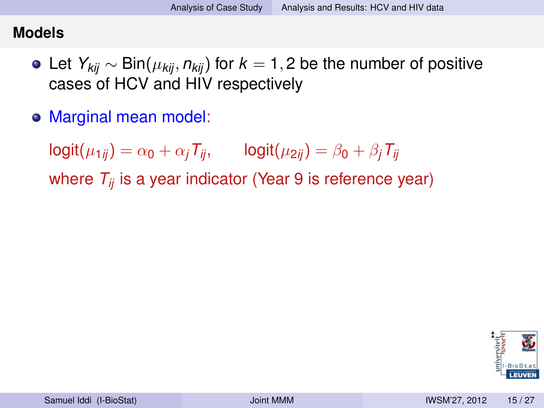- Let *Ykij* ∼ Bin(µ*kij*, *nkij*) for *k* = 1, 2 be the number of positive cases of HCV and HIV respectively
- Marginal mean model:

 $logit(\mu_{1ij}) = \alpha_0 + \alpha_i T_{ij}$ ,  $logit(\mu_{2ij}) = \beta_0 + \beta_i T_{ij}$ 

where *Tij* is a year indicator (Year 9 is reference year)

<span id="page-40-0"></span>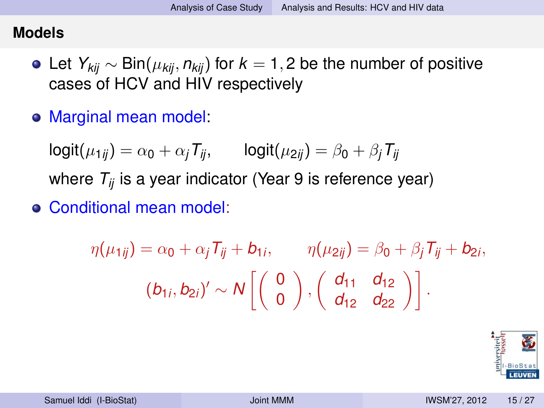- Let *Ykij* ∼ Bin(µ*kij*, *nkij*) for *k* = 1, 2 be the number of positive cases of HCV and HIV respectively
- Marginal mean model:

 $logit(\mu_{1ij}) = \alpha_0 + \alpha_i T_{ij}$ ,  $logit(\mu_{2ij}) = \beta_0 + \beta_i T_{ij}$ where  $T_{ii}$  is a year indicator (Year 9 is reference year)

Conditional mean model:

$$
\eta(\mu_{1ij}) = \alpha_0 + \alpha_j T_{ij} + b_{1i}, \qquad \eta(\mu_{2ij}) = \beta_0 + \beta_j T_{ij} + b_{2i},
$$

$$
(b_{1i}, b_{2i})' \sim N\left[\begin{pmatrix} 0 \\ 0 \end{pmatrix}, \begin{pmatrix} d_{11} & d_{12} \\ d_{12} & d_{22} \end{pmatrix}\right].
$$

<span id="page-41-0"></span>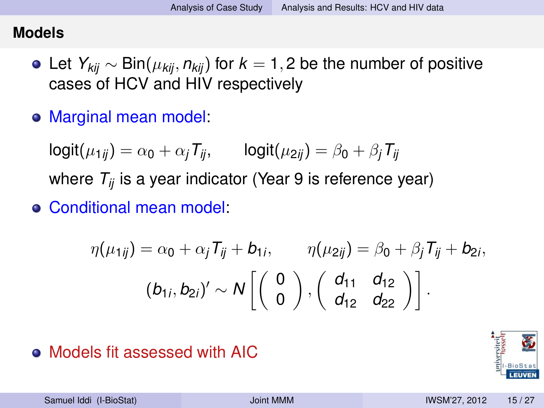- Let *Ykij* ∼ Bin(µ*kij*, *nkij*) for *k* = 1, 2 be the number of positive cases of HCV and HIV respectively
- Marginal mean model:

 $logit(\mu_{1ij}) = \alpha_0 + \alpha_i T_{ij}$ ,  $logit(\mu_{2ij}) = \beta_0 + \beta_i T_{ij}$ where  $T_{ii}$  is a year indicator (Year 9 is reference year)

Conditional mean model:

$$
\eta(\mu_{1ij}) = \alpha_0 + \alpha_j T_{ij} + b_{1i}, \qquad \eta(\mu_{2ij}) = \beta_0 + \beta_j T_{ij} + b_{2i},
$$

$$
(b_{1i}, b_{2i})' \sim N\left[\begin{pmatrix} 0 \\ 0 \end{pmatrix}, \begin{pmatrix} d_{11} & d_{12} \\ d_{12} & d_{22} \end{pmatrix}\right].
$$

## Models fit assessed with AIC

<span id="page-42-0"></span>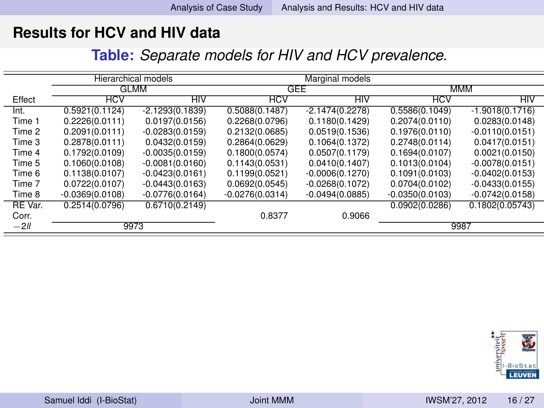**Table:** *Separate models for HIV and HCV prevalence.*

|         |                                  | <b>Hierarchical models</b> |                   |                   |                   |                   |  |
|---------|----------------------------------|----------------------------|-------------------|-------------------|-------------------|-------------------|--|
|         | <b>GLMM</b>                      |                            |                   | GEE               | <b>MMM</b>        |                   |  |
| Effect  | <b>HCV</b>                       | HIV                        | HCV               | HIV               | <b>HCV</b>        | HIV               |  |
| Int.    | 0.5921(0.1124)                   | $-2.1293(0.1839)$          | 0.5088(0.1487)    | $-2.1474(0.2278)$ | 0.5586(0.1049)    | $-1.9018(0.1716)$ |  |
| Time 1  | 0.2226(0.0111)                   | 0.0197(0.0156)             | 0.2268(0.0796)    | 0.1180(0.1429)    | 0.2074(0.0110)    | 0.0283(0.0148)    |  |
| Time 2  | 0.2091(0.0111)                   | $-0.0283(0.0159)$          | 0.2132(0.0685)    | 0.0519(0.1536)    | 0.1976(0.0110)    | $-0.0110(0.0151)$ |  |
| Time 3  | 0.2878(0.0111)<br>0.0432(0.0159) |                            | 0.2864(0.0629)    | 0.1064(0.1372)    | 0.2748(0.0114)    | 0.0417(0.0151)    |  |
| Time 4  | 0.1792(0.0109)                   | $-0.0035(0.0159)$          | 0.1800(0.0574)    | 0.0507(0.1179)    | 0.1694(0.0107)    | 0.0021(0.0150)    |  |
| Time 5  | 0.1060(0.0108)                   | $-0.0081(0.0160)$          | 0.1143(0.0531)    | 0.0410(0.1407)    | 0.1013(0.0104)    | $-0.0078(0.0151)$ |  |
| Time 6  | 0.1138(0.0107)                   | $-0.0423(0.0161)$          | 0.1199(0.0521)    | $-0.0006(0.1270)$ | 0.1091(0.0103)    | $-0.0402(0.0153)$ |  |
| Time 7  | 0.0722(0.0107)                   | $-0.0443(0.0163)$          | 0.0692(0.0545)    | $-0.0268(0.1072)$ | 0.0704(0.0102)    | $-0.0433(0.0155)$ |  |
| Time 8  | $-0.0369(0.0108)$                | $-0.0776(0.0164)$          | $-0.0276(0.0314)$ | $-0.0494(0.0885)$ | $-0.0350(0.0103)$ | $-0.0742(0.0158)$ |  |
| RE Var. | 0.2514(0.0796)                   | 0.6710(0.2149)             |                   |                   | 0.0902(0.0286)    | 0.1802(0.05743)   |  |
| Corr.   |                                  |                            | 0.8377            | 0.9066            |                   |                   |  |
| $-2II$  | 9973                             |                            |                   |                   | 9987              |                   |  |

<span id="page-43-0"></span>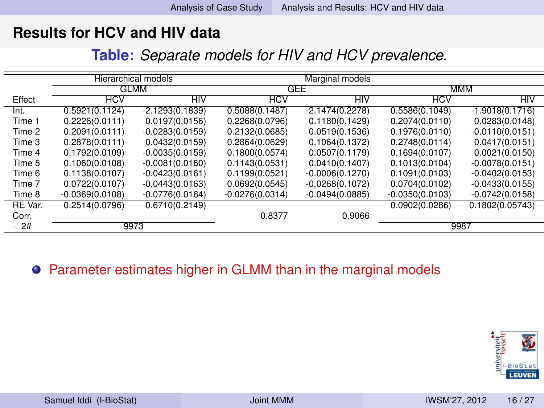**Table:** *Separate models for HIV and HCV prevalence.*

|         |                   | <b>Hierarchical models</b> |                   |                   |                   |                   |  |
|---------|-------------------|----------------------------|-------------------|-------------------|-------------------|-------------------|--|
|         | <b>GLMM</b>       |                            |                   | GEE               | <b>MMM</b>        |                   |  |
| Effect  | <b>HCV</b><br>HIV |                            | <b>HCV</b>        | НIV               | <b>HCV</b>        | HIV               |  |
| Int.    | 0.5921(0.1124)    | $-2.1293(0.1839)$          | 0.5088(0.1487)    | $-2.1474(0.2278)$ | 0.5586(0.1049)    | $-1.9018(0.1716)$ |  |
| Time 1  | 0.2226(0.0111)    | 0.0197(0.0156)             | 0.2268(0.0796)    | 0.1180(0.1429)    | 0.2074(0.0110)    | 0.0283(0.0148)    |  |
| Time 2  | 0.2091(0.0111)    | $-0.0283(0.0159)$          | 0.2132(0.0685)    | 0.0519(0.1536)    | 0.1976(0.0110)    | $-0.0110(0.0151)$ |  |
| Time 3  | 0.2878(0.0111)    | 0.0432(0.0159)             |                   | 0.1064(0.1372)    | 0.2748(0.0114)    | 0.0417(0.0151)    |  |
| Time 4  | 0.1792(0.0109)    | $-0.0035(0.0159)$          | 0.1800(0.0574)    | 0.0507(0.1179)    | 0.1694(0.0107)    | 0.0021(0.0150)    |  |
| Time 5  | 0.1060(0.0108)    | $-0.0081(0.0160)$          | 0.1143(0.0531)    | 0.0410(0.1407)    | 0.1013(0.0104)    | $-0.0078(0.0151)$ |  |
| Time 6  | 0.1138(0.0107)    | $-0.0423(0.0161)$          | 0.1199(0.0521)    | $-0.0006(0.1270)$ | 0.1091(0.0103)    | $-0.0402(0.0153)$ |  |
| Time 7  | 0.0722(0.0107)    | $-0.0443(0.0163)$          | 0.0692(0.0545)    | $-0.0268(0.1072)$ | 0.0704(0.0102)    | $-0.0433(0.0155)$ |  |
| Time 8  | $-0.0369(0.0108)$ | $-0.0776(0.0164)$          | $-0.0276(0.0314)$ | $-0.0494(0.0885)$ | $-0.0350(0.0103)$ | $-0.0742(0.0158)$ |  |
| RE Var. | 0.2514(0.0796)    | 0.6710(0.2149)             |                   |                   | 0.0902(0.0286)    | 0.1802(0.05743)   |  |
| Corr.   |                   |                            | 0.8377            | 0.9066            |                   |                   |  |
| $-2II$  |                   | 9973                       |                   |                   | 9987              |                   |  |

#### **•** Parameter estimates higher in GLMM than in the marginal models

<span id="page-44-0"></span>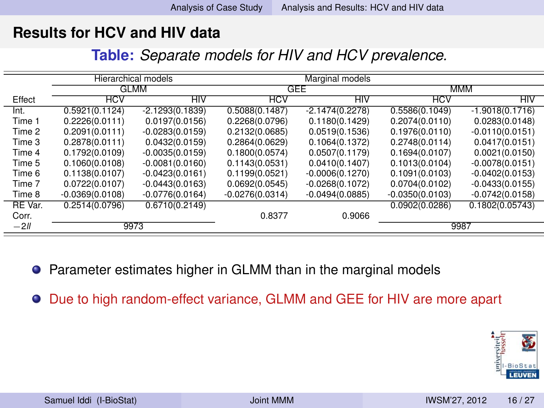**Table:** *Separate models for HIV and HCV prevalence.*

|         |                   | Hierarchical models |                   | Marginal models   |                   |                   |  |
|---------|-------------------|---------------------|-------------------|-------------------|-------------------|-------------------|--|
|         | <b>GLMM</b>       |                     |                   | GEE               | <b>MMM</b>        |                   |  |
| Effect  | <b>HCV</b>        | HIV                 | HCV               | HIV               | <b>HCV</b>        | HIV               |  |
| Int.    | 0.5921(0.1124)    | $-2.1293(0.1839)$   | 0.5088(0.1487)    | $-2.1474(0.2278)$ | 0.5586(0.1049)    | $-1.9018(0.1716)$ |  |
| Time 1  | 0.2226(0.0111)    | 0.0197(0.0156)      | 0.2268(0.0796)    | 0.1180(0.1429)    | 0.2074(0.0110)    | 0.0283(0.0148)    |  |
| Time 2  | 0.2091(0.0111)    | $-0.0283(0.0159)$   | 0.2132(0.0685)    | 0.0519(0.1536)    | 0.1976(0.0110)    | $-0.0110(0.0151)$ |  |
| Time 3  | 0.2878(0.0111)    | 0.0432(0.0159)      | 0.2864(0.0629)    | 0.1064(0.1372)    | 0.2748(0.0114)    | 0.0417(0.0151)    |  |
| Time 4  | 0.1792(0.0109)    | $-0.0035(0.0159)$   | 0.1800(0.0574)    | 0.0507(0.1179)    | 0.1694(0.0107)    | 0.0021(0.0150)    |  |
| Time 5  | 0.1060(0.0108)    | $-0.0081(0.0160)$   | 0.1143(0.0531)    | 0.0410(0.1407)    | 0.1013(0.0104)    | $-0.0078(0.0151)$ |  |
| Time 6  | 0.1138(0.0107)    | $-0.0423(0.0161)$   | 0.1199(0.0521)    | $-0.0006(0.1270)$ | 0.1091(0.0103)    | $-0.0402(0.0153)$ |  |
| Time 7  | 0.0722(0.0107)    | $-0.0443(0.0163)$   | 0.0692(0.0545)    | $-0.0268(0.1072)$ | 0.0704(0.0102)    | $-0.0433(0.0155)$ |  |
| Time 8  | $-0.0369(0.0108)$ | $-0.0776(0.0164)$   | $-0.0276(0.0314)$ | $-0.0494(0.0885)$ | $-0.0350(0.0103)$ | $-0.0742(0.0158)$ |  |
| RE Var. | 0.2514(0.0796)    | 0.6710(0.2149)      |                   |                   | 0.0902(0.0286)    | 0.1802(0.05743)   |  |
| Corr.   |                   |                     | 0.8377            | 0.9066            |                   |                   |  |
| $-2II$  | 9973              |                     |                   |                   | 9987              |                   |  |

● Parameter estimates higher in GLMM than in the marginal models

Due to high random-effect variance, GLMM and GEE for HIV are more apart

<span id="page-45-0"></span>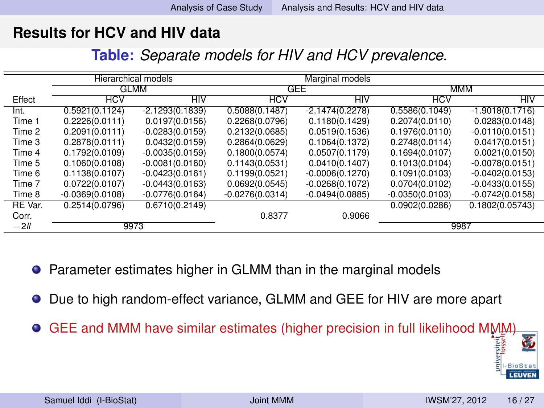| Table: Separate models for HIV and HCV prevalence. |  |  |
|----------------------------------------------------|--|--|
|----------------------------------------------------|--|--|

|         |                   | Hierarchical models |                   |                   |                   |                   |  |
|---------|-------------------|---------------------|-------------------|-------------------|-------------------|-------------------|--|
|         | GLMM              |                     |                   | GEE               | MMM               |                   |  |
| Effect  | <b>HCV</b><br>HIV |                     | <b>HCV</b><br>HIV |                   | <b>HCV</b>        | HIV               |  |
| Int.    | 0.5921(0.1124)    | $-2.1293(0.1839)$   | 0.5088(0.1487)    | $-2.1474(0.2278)$ | 0.5586(0.1049)    | $-1.9018(0.1716)$ |  |
| Time 1  | 0.2226(0.0111)    | 0.0197(0.0156)      | 0.2268(0.0796)    | 0.1180(0.1429)    | 0.2074(0.0110)    | 0.0283(0.0148)    |  |
| Time 2  | 0.2091(0.0111)    | $-0.0283(0.0159)$   | 0.2132(0.0685)    | 0.0519(0.1536)    | 0.1976(0.0110)    | $-0.0110(0.0151)$ |  |
| Time 3  | 0.2878(0.0111)    | 0.0432(0.0159)      | 0.2864(0.0629)    | 0.1064(0.1372)    | 0.2748(0.0114)    | 0.0417(0.0151)    |  |
| Time 4  | 0.1792(0.0109)    | $-0.0035(0.0159)$   | 0.1800(0.0574)    | 0.0507(0.1179)    | 0.1694(0.0107)    | 0.0021(0.0150)    |  |
| Time 5  | 0.1060(0.0108)    | $-0.0081(0.0160)$   | 0.1143(0.0531)    | 0.0410(0.1407)    | 0.1013(0.0104)    | $-0.0078(0.0151)$ |  |
| Time 6  | 0.1138(0.0107)    | $-0.0423(0.0161)$   | 0.1199(0.0521)    | $-0.0006(0.1270)$ | 0.1091(0.0103)    | $-0.0402(0.0153)$ |  |
| Time 7  | 0.0722(0.0107)    | $-0.0443(0.0163)$   | 0.0692(0.0545)    | $-0.0268(0.1072)$ | 0.0704(0.0102)    | $-0.0433(0.0155)$ |  |
| Time 8  | $-0.0369(0.0108)$ | $-0.0776(0.0164)$   | $-0.0276(0.0314)$ | $-0.0494(0.0885)$ | $-0.0350(0.0103)$ | $-0.0742(0.0158)$ |  |
| RE Var. | 0.2514(0.0796)    | 0.6710(0.2149)      |                   |                   | 0.0902(0.0286)    | 0.1802(0.05743)   |  |
| Corr.   |                   |                     | 0.8377            | 0.9066            |                   |                   |  |
| $-2II$  |                   | 9973                |                   |                   | 9987              |                   |  |

- Parameter estimates higher in GLMM than in the marginal models
- Due to high random-effect variance, GLMM and GEE for HIV are more apart
- <span id="page-46-0"></span>GEE and MMM have similar estimates (higher precision in full likelihood MMM)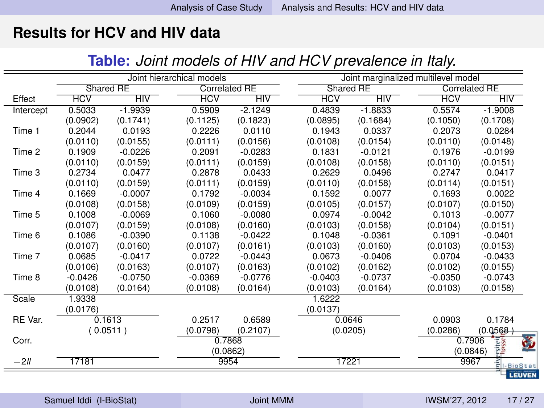#### <span id="page-47-0"></span>**Table:** *Joint models of HIV and HCV prevalence in Italy.*

|           |            |           | Joint hierarchical models |                      |            | Joint marginalized multilevel model |            |                                                       |  |
|-----------|------------|-----------|---------------------------|----------------------|------------|-------------------------------------|------------|-------------------------------------------------------|--|
|           | Shared RE  |           |                           | <b>Correlated RE</b> |            | Shared RE                           |            | <b>Correlated RE</b>                                  |  |
| Effect    | <b>HCV</b> | HIV       | <b>HCV</b>                | HIV                  | <b>HCV</b> | HIV                                 | <b>HCV</b> | HIV                                                   |  |
| Intercept | 0.5033     | $-1.9939$ | 0.5909                    | $-2.1249$            | 0.4839     | $-1.8833$                           | 0.5574     | $-1.9008$                                             |  |
|           | (0.0902)   | (0.1741)  | (0.1125)                  | (0.1823)             | (0.0895)   | (0.1684)                            | (0.1050)   | (0.1708)                                              |  |
| Time 1    | 0.2044     | 0.0193    | 0.2226                    | 0.0110               | 0.1943     | 0.0337                              | 0.2073     | 0.0284                                                |  |
|           | (0.0110)   | (0.0155)  | (0.0111)                  | (0.0156)             | (0.0108)   | (0.0154)                            | (0.0110)   | (0.0148)                                              |  |
| Time 2    | 0.1909     | $-0.0226$ | 0.2091                    | $-0.0283$            | 0.1831     | $-0.0121$                           | 0.1976     | $-0.0199$                                             |  |
|           | (0.0110)   | (0.0159)  | (0.0111)                  | (0.0159)             | (0.0108)   | (0.0158)                            | (0.0110)   | (0.0151)                                              |  |
| Time 3    | 0.2734     | 0.0477    | 0.2878                    | 0.0433               | 0.2629     | 0.0496                              | 0.2747     | 0.0417                                                |  |
|           | (0.0110)   | (0.0159)  | (0.0111)                  | (0.0159)             | (0.0110)   | (0.0158)                            | (0.0114)   | (0.0151)                                              |  |
| Time 4    | 0.1669     | $-0.0007$ | 0.1792                    | $-0.0034$            | 0.1592     | 0.0077                              | 0.1693     | 0.0022                                                |  |
|           | (0.0108)   | (0.0158)  | (0.0109)                  | (0.0159)             | (0.0105)   | (0.0157)                            | (0.0107)   | (0.0150)                                              |  |
| Time 5    | 0.1008     | $-0.0069$ | 0.1060                    | $-0.0080$            | 0.0974     | $-0.0042$                           | 0.1013     | $-0.0077$                                             |  |
|           | (0.0107)   | (0.0159)  | (0.0108)                  | (0.0160)             | (0.0103)   | (0.0158)                            | (0.0104)   | (0.0151)                                              |  |
| Time 6    | 0.1086     | $-0.0390$ | 0.1138                    | $-0.0422$            | 0.1048     | $-0.0361$                           | 0.1091     | $-0.0401$                                             |  |
|           | (0.0107)   | (0.0160)  | (0.0107)                  | (0.0161)             | (0.0103)   | (0.0160)                            | (0.0103)   | (0.0153)                                              |  |
| Time 7    | 0.0685     | $-0.0417$ | 0.0722                    | $-0.0443$            | 0.0673     | $-0.0406$                           | 0.0704     | $-0.0433$                                             |  |
|           | (0.0106)   | (0.0163)  | (0.0107)                  | (0.0163)             | (0.0102)   | (0.0162)                            | (0.0102)   | (0.0155)                                              |  |
| Time 8    | $-0.0426$  | $-0.0750$ | $-0.0369$                 | $-0.0776$            | $-0.0403$  | $-0.0737$                           | $-0.0350$  | $-0.0743$                                             |  |
|           | (0.0108)   | (0.0164)  | (0.0108)                  | (0.0164)             | (0.0103)   | (0.0164)                            | (0.0103)   | (0.0158)                                              |  |
| Scale     | 1.9338     |           |                           |                      | 1.6222     |                                     |            |                                                       |  |
|           | (0.0176)   |           |                           |                      | (0.0137)   |                                     |            |                                                       |  |
| RE Var.   |            | 0.1613    | 0.2517                    | 0.6589               |            | 0.0646                              | 0.0903     | 0.1784                                                |  |
|           |            | (0.0511)  | (0.0798)                  | (0.2107)             |            | (0.0205)                            |            | (0.0568)                                              |  |
| Corr.     |            |           |                           | 0.7868               |            |                                     |            | 侈<br>0.7906                                           |  |
|           |            |           |                           | (0.0862)             |            |                                     |            | <b>Prsitei</b><br>(0.0846)                            |  |
| $-211$    | 17181      |           |                           | 9954                 | 17221      |                                     |            | 9967<br>$E_{\text{L-Bi} \text{S} \text{t} \text{at}}$ |  |
|           |            |           |                           |                      |            |                                     |            | LEUVEN                                                |  |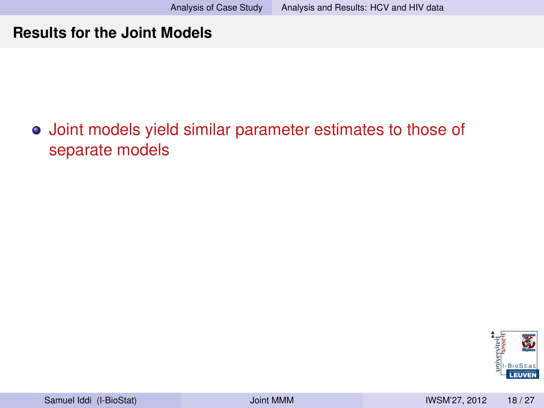## Joint models yield similar parameter estimates to those of separate models

<span id="page-48-0"></span>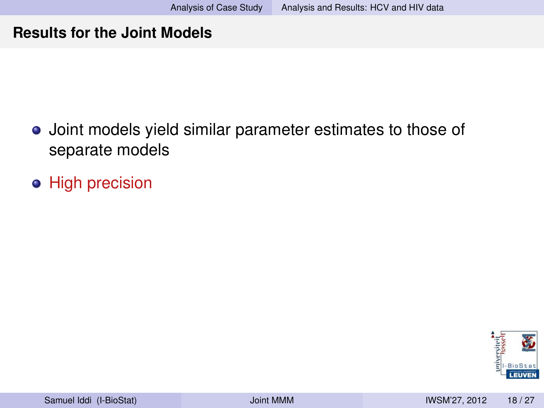- Joint models yield similar parameter estimates to those of separate models
- **•** High precision

<span id="page-49-0"></span>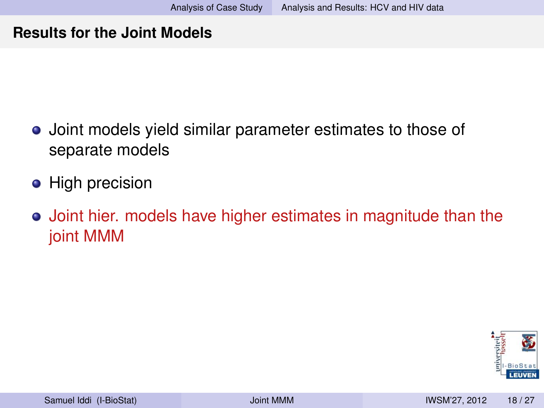- Joint models yield similar parameter estimates to those of separate models
- High precision
- Joint hier. models have higher estimates in magnitude than the joint MMM

<span id="page-50-0"></span>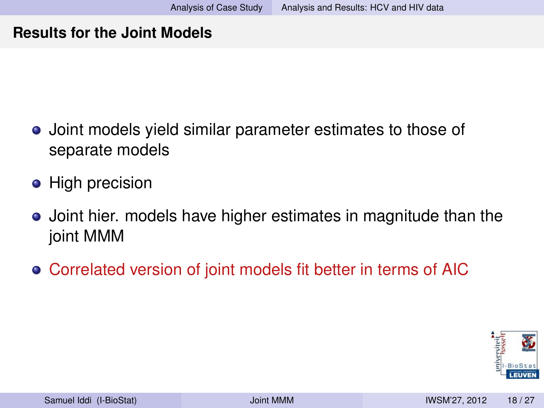- Joint models yield similar parameter estimates to those of separate models
- High precision
- Joint hier. models have higher estimates in magnitude than the joint MMM
- Correlated version of joint models fit better in terms of AIC

<span id="page-51-0"></span>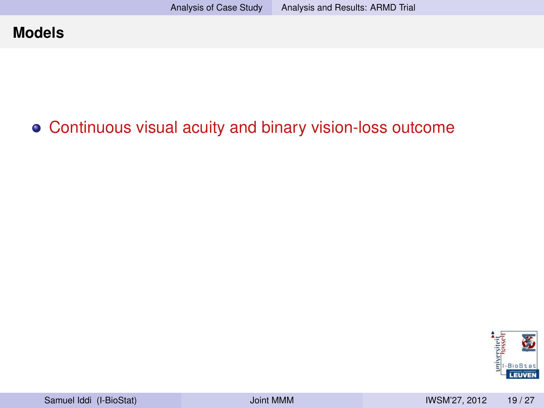## Continuous visual acuity and binary vision-loss outcome

<span id="page-52-0"></span>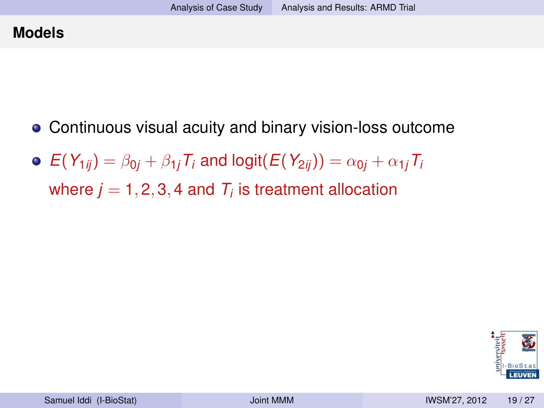- Continuous visual acuity and binary vision-loss outcome
- $\Phi$   $E(Y_{1ij}) = \beta_{0i} + \beta_{1i}T_i$  and logit( $E(Y_{2ij}) = \alpha_{0i} + \alpha_{1i}T_i$ where  $j=1,2,3,4$  and  $\mathcal{T}_i$  is treatment allocation

<span id="page-53-0"></span>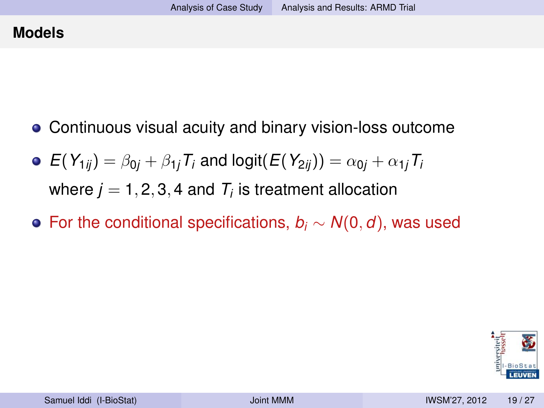- Continuous visual acuity and binary vision-loss outcome
- $\mathbf{P}(Y_{1ij}) = \beta_{0i} + \beta_{1i}T_i$  and logit( $E(Y_{2ij}) = \alpha_{0i} + \alpha_{1i}T_i$ where  $j=1,2,3,4$  and  $\mathcal{T}_i$  is treatment allocation
- For the conditional specifications, *b<sup>i</sup>* ∼ *N*(0, *d*), was used

<span id="page-54-0"></span>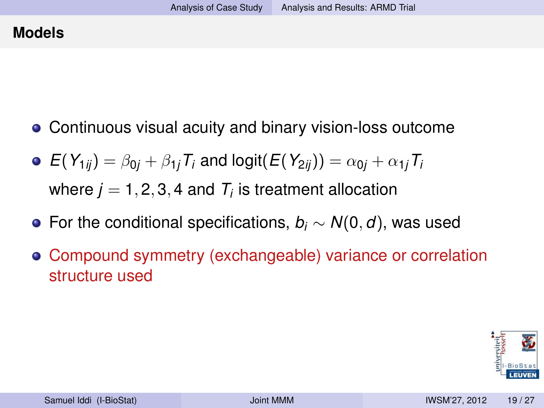- Continuous visual acuity and binary vision-loss outcome
- $\mathbf{P}(Y_{1ij}) = \beta_{0i} + \beta_{1i}T_i$  and logit( $E(Y_{2ij}) = \alpha_{0i} + \alpha_{1i}T_i$ where  $j=1,2,3,4$  and  $\mathcal{T}_i$  is treatment allocation
- For the conditional specifications, *b<sup>i</sup>* ∼ *N*(0, *d*), was used
- Compound symmetry (exchangeable) variance or correlation structure used

<span id="page-55-0"></span>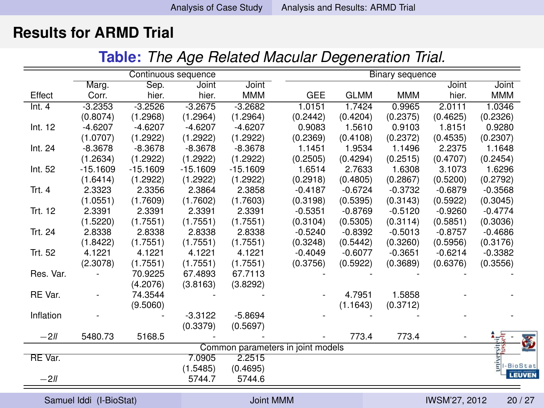### **Results for ARMD Trial**

<span id="page-56-0"></span>**Table:** *The Age Related Macular Degeneration Trial.*

|                         |            | Continuous sequence |            |            |                                   | Binary sequence |            |               |               |  |
|-------------------------|------------|---------------------|------------|------------|-----------------------------------|-----------------|------------|---------------|---------------|--|
|                         | Marg.      | Sep.                | Joint      | Joint      |                                   |                 |            | Joint         | Joint         |  |
| Effect                  | Corr.      | hier.               | hier.      | <b>MMM</b> | GEE                               | <b>GLMM</b>     | <b>MMM</b> | hier.         | <b>MMM</b>    |  |
| Int.4                   | $-3.2353$  | $-3.2526$           | $-3.2675$  | $-3.2682$  | 1.0151                            | 1.7424          | 0.9965     | 2.0111        | 1.0346        |  |
|                         | (0.8074)   | (1.2968)            | (1.2964)   | (1.2964)   | (0.2442)                          | (0.4204)        | (0.2375)   | (0.4625)      | (0.2326)      |  |
| Int. 12                 | $-4.6207$  | $-4.6207$           | $-4.6207$  | $-4.6207$  | 0.9083                            | 1.5610          | 0.9103     | 1.8151        | 0.9280        |  |
|                         | (1.0707)   | (1.2922)            | (1.2922)   | (1.2922)   | (0.2369)                          | (0.4108)        | (0.2372)   | (0.4535)      | (0.2307)      |  |
| Int. 24                 | $-8.3678$  | $-8.3678$           | $-8.3678$  | $-8.3678$  | 1.1451                            | 1.9534          | 1.1496     | 2.2375        | 1.1648        |  |
|                         | (1.2634)   | (1.2922)            | (1.2922)   | (1.2922)   | (0.2505)                          | (0.4294)        | (0.2515)   | (0.4707)      | (0.2454)      |  |
| Int. 52                 | $-15.1609$ | $-15.1609$          | $-15.1609$ | $-15.1609$ | 1.6514                            | 2.7633          | 1.6308     | 3.1073        | 1.6296        |  |
|                         | (1.6414)   | (1.2922)            | (1.2922)   | (1.2922)   | (0.2918)                          | (0.4805)        | (0.2867)   | (0.5200)      | (0.2792)      |  |
| Trt. 4                  | 2.3323     | 2.3356              | 2.3864     | 2.3858     | $-0.4187$                         | $-0.6724$       | $-0.3732$  | $-0.6879$     | $-0.3568$     |  |
|                         | (1.0551)   | (1.7609)            | (1.7602)   | (1.7603)   | (0.3198)                          | (0.5395)        | (0.3143)   | (0.5922)      | (0.3045)      |  |
| Trt. 12                 | 2.3391     | 2.3391              | 2.3391     | 2.3391     | $-0.5351$                         | $-0.8769$       | $-0.5120$  | $-0.9260$     | $-0.4774$     |  |
|                         | (1.5220)   | (1.7551)            | (1.7551)   | (1.7551)   | (0.3104)                          | (0.5305)        | (0.3114)   | (0.5851)      | (0.3036)      |  |
| Trt. 24                 | 2.8338     | 2.8338              | 2.8338     | 2.8338     | $-0.5240$                         | $-0.8392$       | $-0.5013$  | $-0.8757$     | $-0.4686$     |  |
|                         | (1.8422)   | (1.7551)            | (1.7551)   | (1.7551)   | (0.3248)                          | (0.5442)        | (0.3260)   | (0.5956)      | (0.3176)      |  |
| Trt. 52                 | 4.1221     | 4.1221              | 4.1221     | 4.1221     | $-0.4049$                         | $-0.6077$       | $-0.3651$  | $-0.6214$     | $-0.3382$     |  |
|                         | (2.3078)   | (1.7551)            | (1.7551)   | (1.7551)   | (0.3756)                          | (0.5922)        | (0.3689)   | (0.6376)      | (0.3556)      |  |
| Res. Var.               |            | 70.9225             | 67.4893    | 67.7113    |                                   |                 |            |               |               |  |
|                         |            | (4.2076)            | (3.8163)   | (3.8292)   |                                   |                 |            |               |               |  |
| RE Var.                 |            | 74.3544             |            |            |                                   | 4.7951          | 1.5858     |               |               |  |
|                         |            | (9.5060)            |            |            |                                   | (1.1643)        | (0.3712)   |               |               |  |
| Inflation               |            |                     | $-3.3122$  | $-5.8694$  |                                   |                 |            |               |               |  |
|                         |            |                     | (0.3379)   | (0.5697)   |                                   |                 |            |               |               |  |
| $-2II$                  | 5480.73    | 5168.5              |            |            |                                   | 773.4           | 773.4      |               | Ğ             |  |
|                         |            |                     |            |            | Common parameters in joint models |                 |            |               |               |  |
| RE Var.                 |            |                     | 7.0905     | 2.2515     |                                   |                 |            |               |               |  |
|                         |            |                     | (1.5485)   | (0.4695)   |                                   |                 |            |               | t<br>-BioStat |  |
| $-2II$                  |            |                     | 5744.7     | 5744.6     |                                   |                 |            |               | <b>LEUVEN</b> |  |
|                         |            |                     |            |            |                                   |                 |            |               |               |  |
| Samuel Iddi (I-BioStat) |            |                     |            | Joint MMM  |                                   |                 |            | IWSM'27, 2012 | 20/27         |  |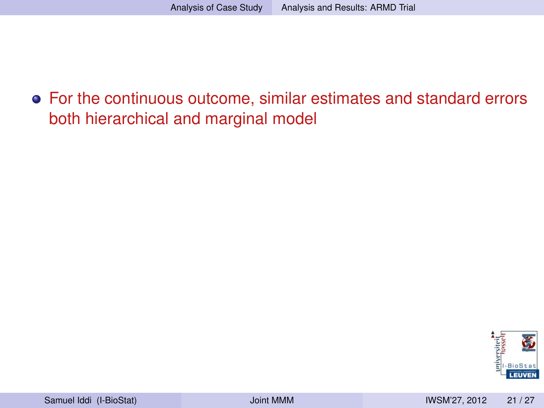For the continuous outcome, similar estimates and standard errors both hierarchical and marginal model

<span id="page-57-0"></span>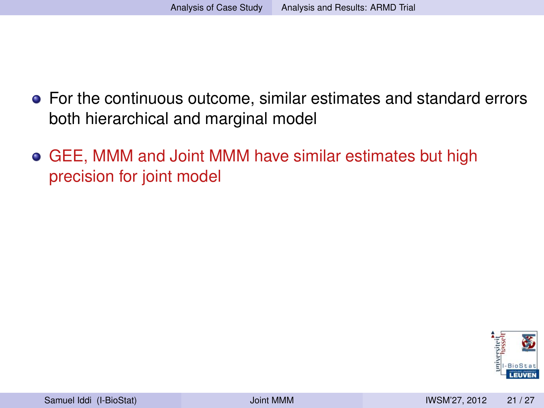- For the continuous outcome, similar estimates and standard errors both hierarchical and marginal model
- GEE, MMM and Joint MMM have similar estimates but high precision for joint model

<span id="page-58-0"></span>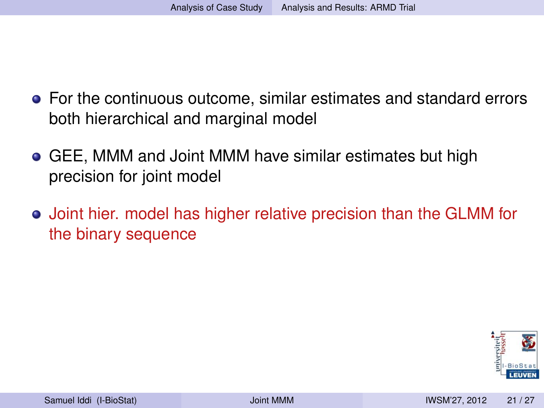- For the continuous outcome, similar estimates and standard errors both hierarchical and marginal model
- GEE, MMM and Joint MMM have similar estimates but high precision for joint model
- Joint hier. model has higher relative precision than the GLMM for the binary sequence

<span id="page-59-0"></span>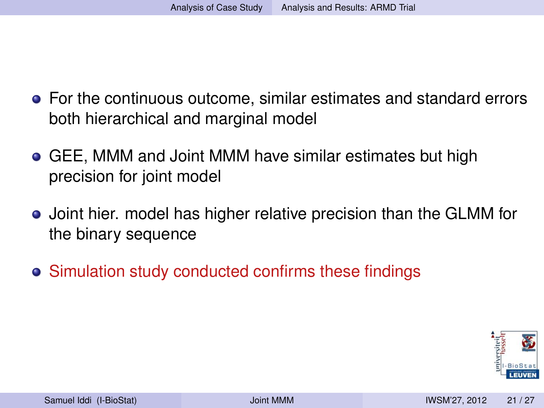- For the continuous outcome, similar estimates and standard errors both hierarchical and marginal model
- GEE, MMM and Joint MMM have similar estimates but high precision for joint model
- Joint hier. model has higher relative precision than the GLMM for the binary sequence
- Simulation study conducted confirms these findings

<span id="page-60-0"></span>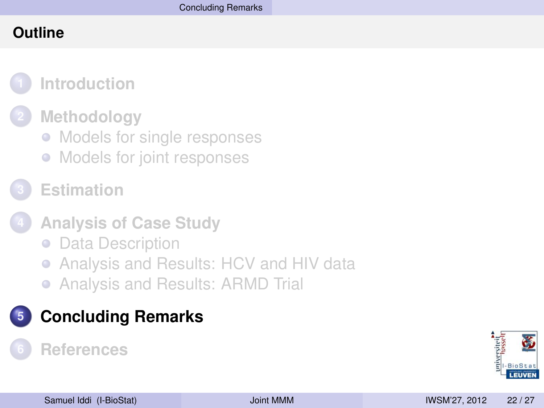### **Outline**



### **2 [Methodology](#page-16-0)**

- [Models for single responses](#page-17-0)
- [Models for joint responses](#page-20-0)
- **3 [Estimation](#page-28-0)**
- **4 [Analysis of Case Study](#page-32-0)**
	- [Data Description](#page-33-0)
	- [Analysis and Results: HCV and HIV data](#page-39-0)  $\bullet$
	- [Analysis and Results: ARMD Trial](#page-52-0)

## **5 [Concluding Remarks](#page-61-0)**

### <span id="page-61-0"></span>**6 [References](#page-66-0)**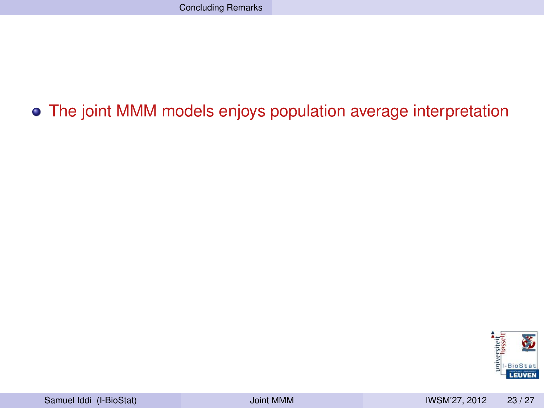## The joint MMM models enjoys population average interpretation

<span id="page-62-0"></span>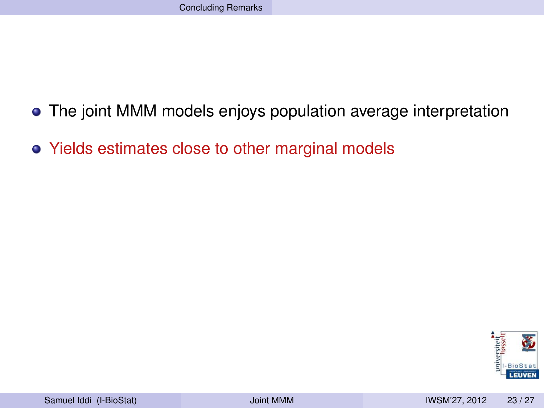- The joint MMM models enjoys population average interpretation
- Yields estimates close to other marginal models

<span id="page-63-0"></span>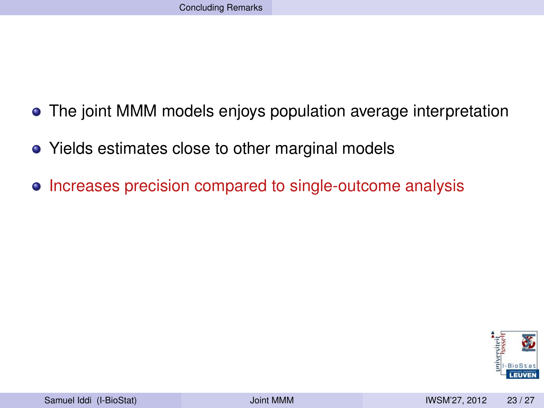- The joint MMM models enjoys population average interpretation
- Yields estimates close to other marginal models
- Increases precision compared to single-outcome analysis

<span id="page-64-0"></span>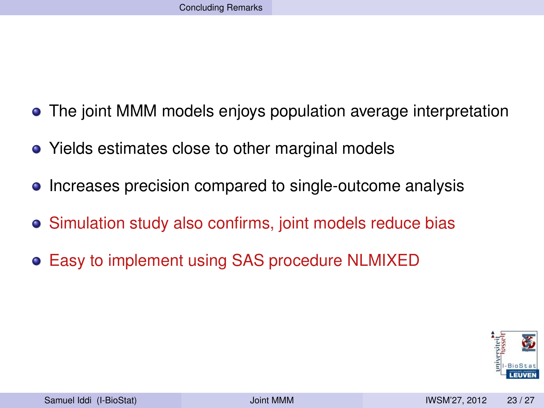- The joint MMM models enjoys population average interpretation
- Yields estimates close to other marginal models
- Increases precision compared to single-outcome analysis
- Simulation study also confirms, joint models reduce bias
- Easy to implement using SAS procedure NLMIXED

<span id="page-65-0"></span>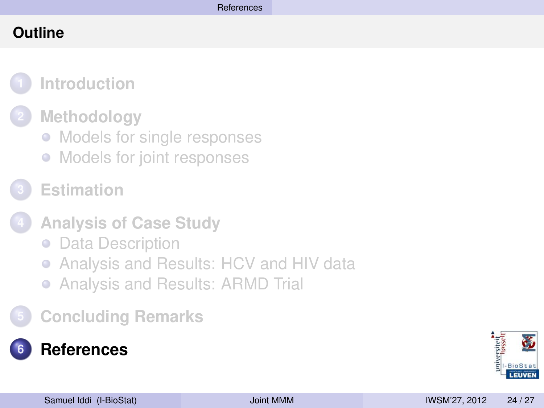### **Outline**



### **2 [Methodology](#page-16-0)**

- [Models for single responses](#page-17-0)
- [Models for joint responses](#page-20-0)
- **3 [Estimation](#page-28-0)**
- **4 [Analysis of Case Study](#page-32-0)**
	- **[Data Description](#page-33-0)**
	- [Analysis and Results: HCV and HIV data](#page-39-0)
	- [Analysis and Results: ARMD Trial](#page-52-0)
- **5 [Concluding Remarks](#page-61-0)**

<span id="page-66-0"></span>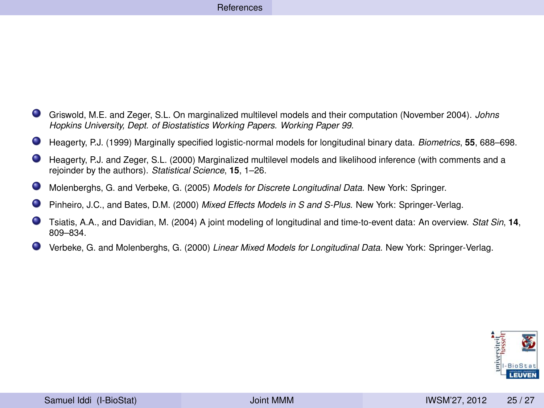#### [References](#page-67-0)

- Griswold, M.E. and Zeger, S.L. On marginalized multilevel models and their computation (November 2004). *Johns Hopkins University, Dept. of Biostatistics Working Papers. Working Paper 99*.
- Heagerty, P.J. (1999) Marginally specified logistic-normal models for longitudinal binary data. *Biometrics*, **55**, 688–698.
- $\bullet$ Heagerty, P.J. and Zeger, S.L. (2000) Marginalized multilevel models and likelihood inference (with comments and a rejoinder by the authors). *Statistical Science*, **15**, 1–26.
- Molenberghs, G. and Verbeke, G. (2005) *Models for Discrete Longitudinal Data.* New York: Springer.
- Pinheiro, J.C., and Bates, D.M. (2000) *Mixed Effects Models in S and S-Plus*. New York: Springer-Verlag.
- Tsiatis, A.A., and Davidian, M. (2004) A joint modeling of longitudinal and time-to-event data: An overview. *Stat Sin*, **14**, 809–834.
- . Verbeke, G. and Molenberghs, G. (2000) *Linear Mixed Models for Longitudinal Data.* New York: Springer-Verlag.

<span id="page-67-0"></span>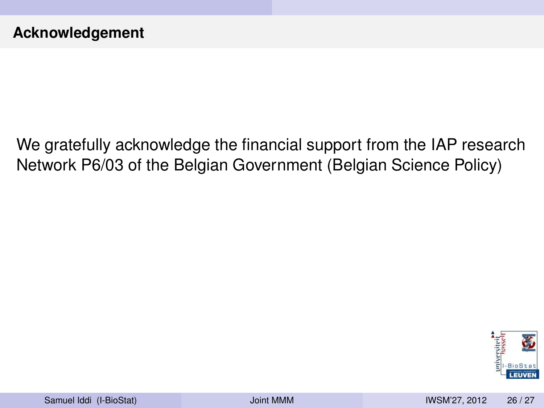We gratefully acknowledge the financial support from the IAP research Network P6/03 of the Belgian Government (Belgian Science Policy)